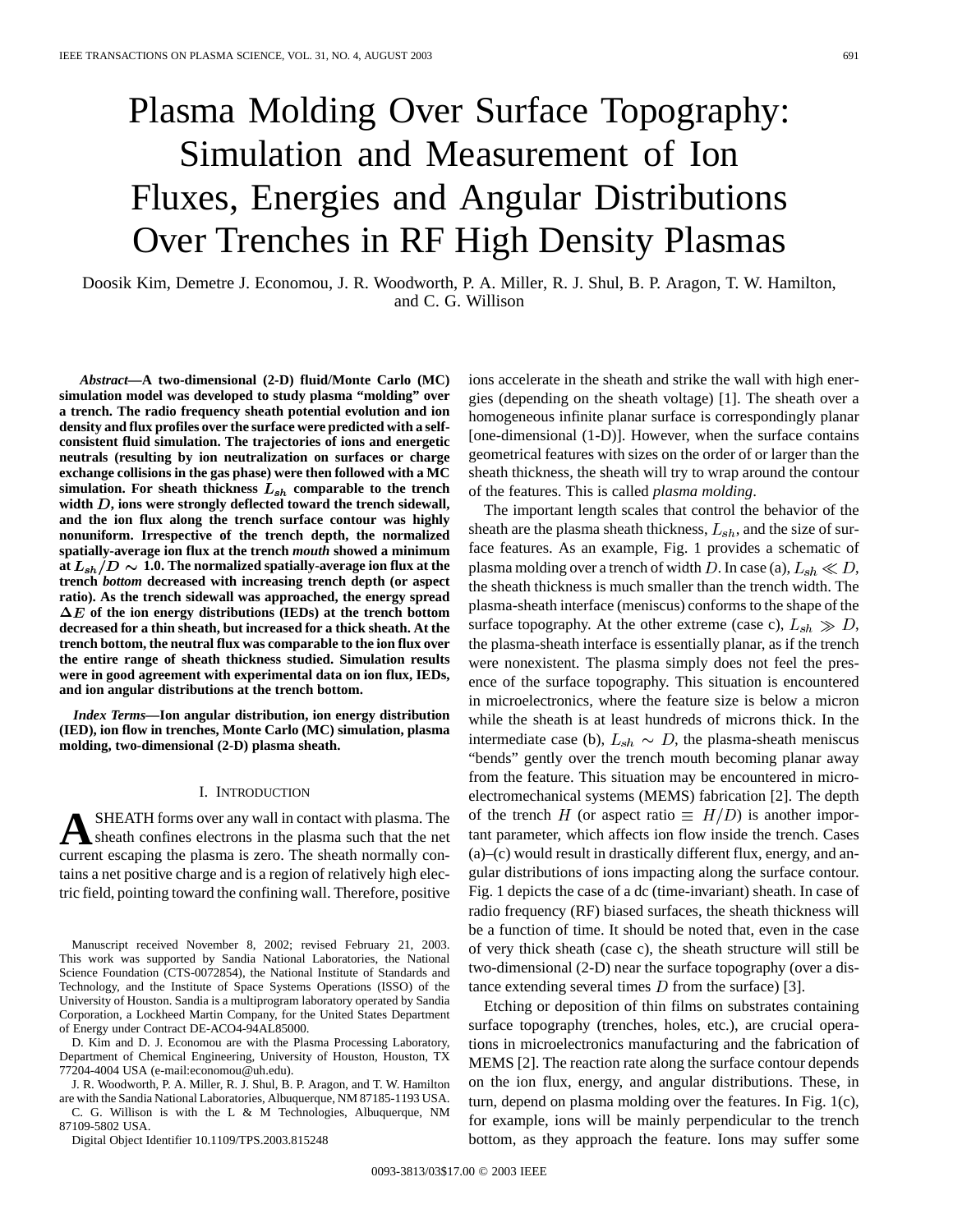# Plasma Molding Over Surface Topography: Simulation and Measurement of Ion Fluxes, Energies and Angular Distributions Over Trenches in RF High Density Plasmas

Doosik Kim, Demetre J. Economou, J. R. Woodworth, P. A. Miller, R. J. Shul, B. P. Aragon, T. W. Hamilton, and C. G. Willison

*Abstract—***A two-dimensional (2-D) fluid/Monte Carlo (MC) simulation model was developed to study plasma "molding" over a trench. The radio frequency sheath potential evolution and ion density and flux profiles over the surface were predicted with a selfconsistent fluid simulation. The trajectories of ions and energetic neutrals (resulting by ion neutralization on surfaces or charge exchange collisions in the gas phase) were then followed with a MC** simulation. For sheath thickness  $L_{sh}$  comparable to the trench width *D*, ions were strongly deflected toward the trench sidewall, **and the ion flux along the trench surface contour was highly nonuniform. Irrespective of the trench depth, the normalized spatially-average ion flux at the trench** *mouth* **showed a minimum** at  $L_{sh}/D \sim 1.0$ . The normalized spatially-average ion flux at the **trench** *bottom* **decreased with increasing trench depth (or aspect ratio). As the trench sidewall was approached, the energy spread**  $\Delta E$  of the ion energy distributions (IEDs) at the trench bottom **decreased for a thin sheath, but increased for a thick sheath. At the trench bottom, the neutral flux was comparable to the ion flux over the entire range of sheath thickness studied. Simulation results were in good agreement with experimental data on ion flux, IEDs, and ion angular distributions at the trench bottom.**

*Index Terms—***Ion angular distribution, ion energy distribution (IED), ion flow in trenches, Monte Carlo (MC) simulation, plasma molding, two-dimensional (2-D) plasma sheath.**

#### I. INTRODUCTION

**A**SHEATH forms over any wall in contact with plasma. The sheath confines electrons in the plasma such that the net current escaping the plasma is zero. The sheath normally contains a net positive charge and is a region of relatively high electric field, pointing toward the confining wall. Therefore, positive

Manuscript received November 8, 2002; revised February 21, 2003. This work was supported by Sandia National Laboratories, the National Science Foundation (CTS-0072854), the National Institute of Standards and Technology, and the Institute of Space Systems Operations (ISSO) of the University of Houston. Sandia is a multiprogram laboratory operated by Sandia Corporation, a Lockheed Martin Company, for the United States Department of Energy under Contract DE-ACO4-94AL85000.

D. Kim and D. J. Economou are with the Plasma Processing Laboratory, Department of Chemical Engineering, University of Houston, Houston, TX 77204-4004 USA (e-mail:economou@uh.edu).

J. R. Woodworth, P. A. Miller, R. J. Shul, B. P. Aragon, and T. W. Hamilton are with the Sandia National Laboratories, Albuquerque, NM 87185-1193 USA. C. G. Willison is with the L & M Technologies, Albuquerque, NM

87109-5802 USA.

Digital Object Identifier 10.1109/TPS.2003.815248

ions accelerate in the sheath and strike the wall with high energies (depending on the sheath voltage) [1]. The sheath over a homogeneous infinite planar surface is correspondingly planar [one-dimensional (1-D)]. However, when the surface contains geometrical features with sizes on the order of or larger than the sheath thickness, the sheath will try to wrap around the contour of the features. This is called *plasma molding*.

The important length scales that control the behavior of the sheath are the plasma sheath thickness,  $L_{sh}$ , and the size of surface features. As an example, Fig. 1 provides a schematic of plasma molding over a trench of width D. In case (a),  $L_{sh} \ll D$ , the sheath thickness is much smaller than the trench width. The plasma-sheath interface (meniscus) conforms to the shape of the surface topography. At the other extreme (case c),  $L_{sh} \gg D$ , the plasma-sheath interface is essentially planar, as if the trench were nonexistent. The plasma simply does not feel the presence of the surface topography. This situation is encountered in microelectronics, where the feature size is below a micron while the sheath is at least hundreds of microns thick. In the intermediate case (b),  $L_{sh} \sim D$ , the plasma-sheath meniscus "bends" gently over the trench mouth becoming planar away from the feature. This situation may be encountered in microelectromechanical systems (MEMS) fabrication [2]. The depth of the trench H (or aspect ratio  $\equiv H/D$ ) is another important parameter, which affects ion flow inside the trench. Cases (a)–(c) would result in drastically different flux, energy, and angular distributions of ions impacting along the surface contour. Fig. 1 depicts the case of a dc (time-invariant) sheath. In case of radio frequency (RF) biased surfaces, the sheath thickness will be a function of time. It should be noted that, even in the case of very thick sheath (case c), the sheath structure will still be two-dimensional (2-D) near the surface topography (over a distance extending several times  $D$  from the surface) [3].

Etching or deposition of thin films on substrates containing surface topography (trenches, holes, etc.), are crucial operations in microelectronics manufacturing and the fabrication of MEMS [2]. The reaction rate along the surface contour depends on the ion flux, energy, and angular distributions. These, in turn, depend on plasma molding over the features. In Fig. 1(c), for example, ions will be mainly perpendicular to the trench bottom, as they approach the feature. Ions may suffer some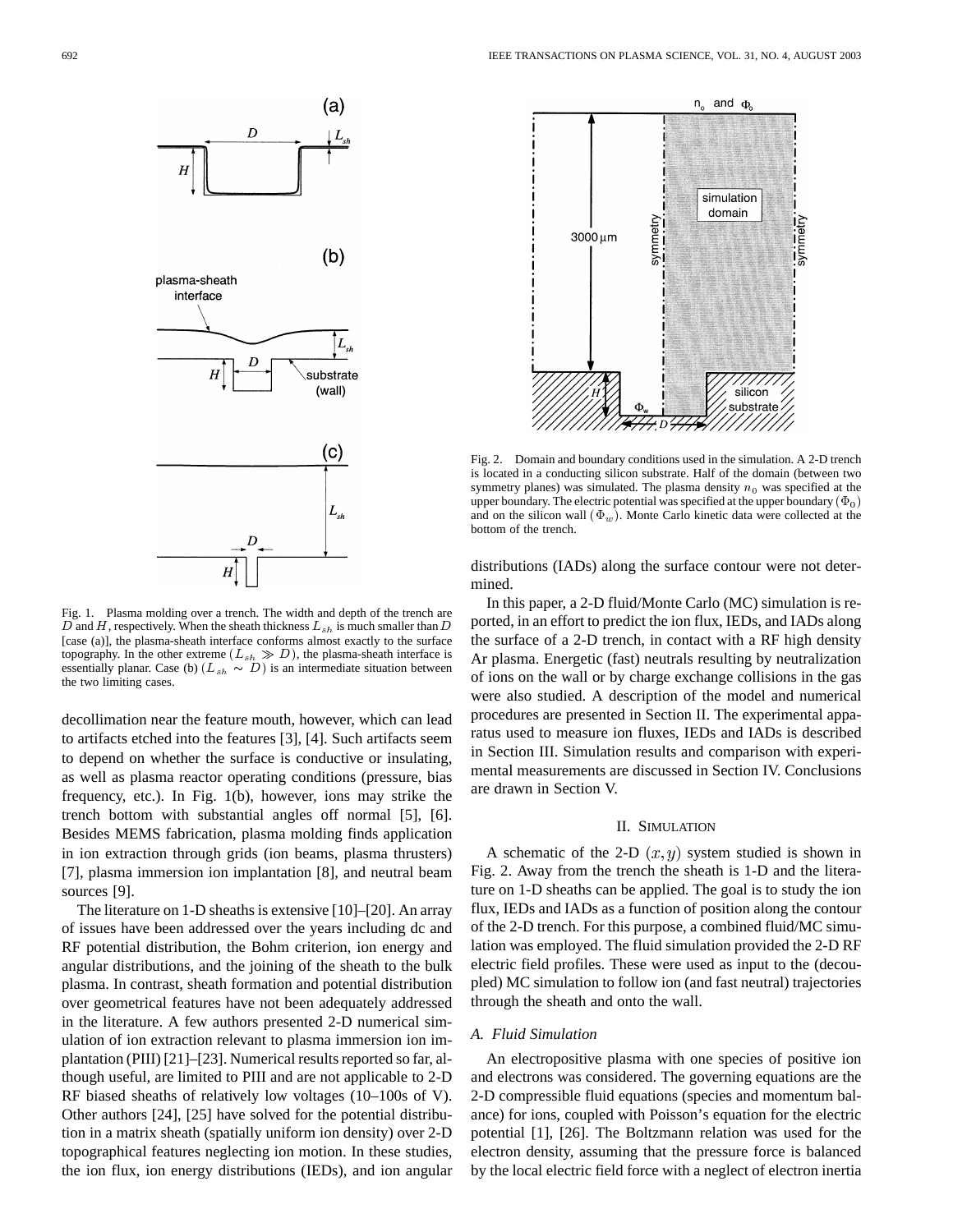

Fig. 1. Plasma molding over a trench. The width and depth of the trench are D and H, respectively. When the sheath thickness  $L_{sh}$  is much smaller than D [case (a)], the plasma-sheath interface conforms almost exactly to the surface topography. In the other extreme  $(L_{sh} \gg D)$ , the plasma-sheath interface is essentially planar. Case (b)  $(L_{sh} \sim D)$  is an intermediate situation between the two limiting cases.

decollimation near the feature mouth, however, which can lead to artifacts etched into the features [3], [4]. Such artifacts seem to depend on whether the surface is conductive or insulating, as well as plasma reactor operating conditions (pressure, bias frequency, etc.). In Fig. 1(b), however, ions may strike the trench bottom with substantial angles off normal [5], [6]. Besides MEMS fabrication, plasma molding finds application in ion extraction through grids (ion beams, plasma thrusters) [7], plasma immersion ion implantation [8], and neutral beam sources [9].

The literature on 1-D sheaths is extensive [10]–[20]. An array of issues have been addressed over the years including dc and RF potential distribution, the Bohm criterion, ion energy and angular distributions, and the joining of the sheath to the bulk plasma. In contrast, sheath formation and potential distribution over geometrical features have not been adequately addressed in the literature. A few authors presented 2-D numerical simulation of ion extraction relevant to plasma immersion ion implantation (PIII) [21]–[23]. Numerical results reported so far, although useful, are limited to PIII and are not applicable to 2-D RF biased sheaths of relatively low voltages (10–100s of V). Other authors [24], [25] have solved for the potential distribution in a matrix sheath (spatially uniform ion density) over 2-D topographical features neglecting ion motion. In these studies, the ion flux, ion energy distributions (IEDs), and ion angular



Fig. 2. Domain and boundary conditions used in the simulation. A 2-D trench is located in a conducting silicon substrate. Half of the domain (between two symmetry planes) was simulated. The plasma density  $n_0$  was specified at the upper boundary. The electric potential was specified at the upper boundary  $(\Phi_0)$ and on the silicon wall  $(\Phi_w)$ . Monte Carlo kinetic data were collected at the bottom of the trench.

distributions (IADs) along the surface contour were not determined.

In this paper, a 2-D fluid/Monte Carlo (MC) simulation is reported, in an effort to predict the ion flux, IEDs, and IADs along the surface of a 2-D trench, in contact with a RF high density Ar plasma. Energetic (fast) neutrals resulting by neutralization of ions on the wall or by charge exchange collisions in the gas were also studied. A description of the model and numerical procedures are presented in Section II. The experimental apparatus used to measure ion fluxes, IEDs and IADs is described in Section III. Simulation results and comparison with experimental measurements are discussed in Section IV. Conclusions are drawn in Section V.

#### II. SIMULATION

A schematic of the 2-D  $(x, y)$  system studied is shown in Fig. 2. Away from the trench the sheath is 1-D and the literature on 1-D sheaths can be applied. The goal is to study the ion flux, IEDs and IADs as a function of position along the contour of the 2-D trench. For this purpose, a combined fluid/MC simulation was employed. The fluid simulation provided the 2-D RF electric field profiles. These were used as input to the (decoupled) MC simulation to follow ion (and fast neutral) trajectories through the sheath and onto the wall.

## *A. Fluid Simulation*

An electropositive plasma with one species of positive ion and electrons was considered. The governing equations are the 2-D compressible fluid equations (species and momentum balance) for ions, coupled with Poisson's equation for the electric potential [1], [26]. The Boltzmann relation was used for the electron density, assuming that the pressure force is balanced by the local electric field force with a neglect of electron inertia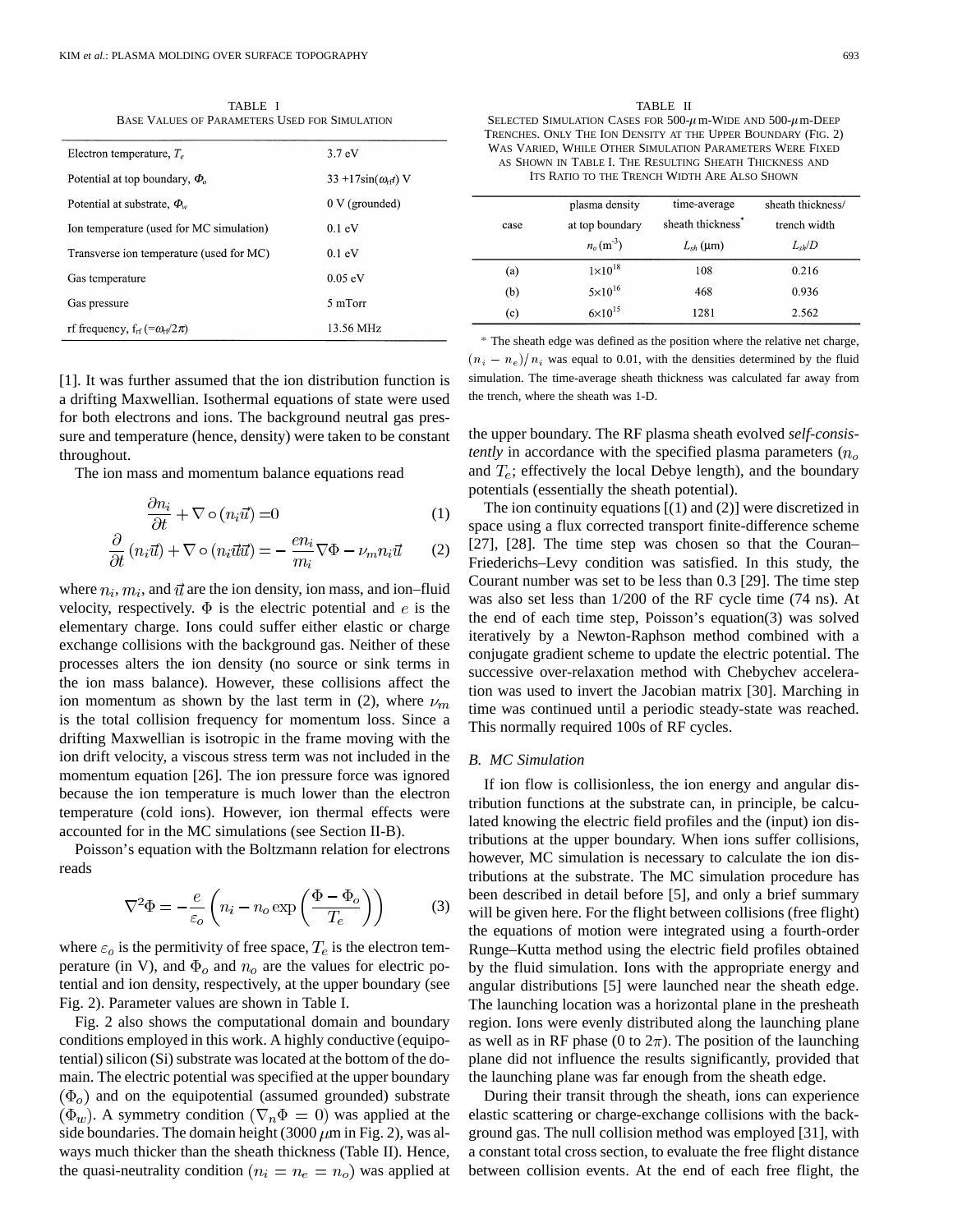TABLE I BASE VALUES OF PARAMETERS USED FOR SIMULATION

| Electron temperature, $T_e$                                  | 3.7 <sub>eV</sub>                   |  |
|--------------------------------------------------------------|-------------------------------------|--|
| Potential at top boundary, $\Phi_{\alpha}$                   | $33 + 17\sin(\omega_{\text{rf}})$ V |  |
| Potential at substrate, $\Phi_{w}$                           | $0 \text{ V}$ (grounded)            |  |
| Ion temperature (used for MC simulation)                     | 0.1 eV                              |  |
| Transverse ion temperature (used for MC)                     | 0.1 eV                              |  |
| Gas temperature                                              | 0.05 eV                             |  |
| Gas pressure                                                 | 5 mTorr                             |  |
| rf frequency, $f_{\text{rf}}$ (= $\omega_{\text{rf}}/2\pi$ ) | 13.56 MHz                           |  |

[1]. It was further assumed that the ion distribution function is a drifting Maxwellian. Isothermal equations of state were used for both electrons and ions. The background neutral gas pressure and temperature (hence, density) were taken to be constant throughout.

The ion mass and momentum balance equations read

$$
\frac{\partial n_i}{\partial t} + \nabla \circ (n_i \vec{u}) = 0 \tag{1}
$$

$$
\frac{\partial}{\partial t} (n_i \vec{u}) + \nabla \circ (n_i \vec{u} \vec{u}) = -\frac{en_i}{m_i} \nabla \Phi - \nu_m n_i \vec{u}
$$
 (2)

where  $n_i$ ,  $m_i$ , and  $\vec{u}$  are the ion density, ion mass, and ion–fluid velocity, respectively.  $\Phi$  is the electric potential and e is the elementary charge. Ions could suffer either elastic or charge exchange collisions with the background gas. Neither of these processes alters the ion density (no source or sink terms in the ion mass balance). However, these collisions affect the ion momentum as shown by the last term in (2), where  $\nu_m$ is the total collision frequency for momentum loss. Since a drifting Maxwellian is isotropic in the frame moving with the ion drift velocity, a viscous stress term was not included in the momentum equation [26]. The ion pressure force was ignored because the ion temperature is much lower than the electron temperature (cold ions). However, ion thermal effects were accounted for in the MC simulations (see Section II-B).

Poisson's equation with the Boltzmann relation for electrons reads

$$
\nabla^2 \Phi = -\frac{e}{\varepsilon_o} \left( n_i - n_o \exp\left(\frac{\Phi - \Phi_o}{T_e}\right) \right) \tag{3}
$$

where  $\varepsilon_o$  is the permitivity of free space,  $T_e$  is the electron temperature (in V), and  $\Phi_o$  and  $n_o$  are the values for electric potential and ion density, respectively, at the upper boundary (see Fig. 2). Parameter values are shown in Table I.

Fig. 2 also shows the computational domain and boundary conditions employed in this work. A highly conductive (equipotential) silicon (Si) substrate was located at the bottom of the domain. The electric potential was specified at the upper boundary  $(\Phi_o)$  and on the equipotential (assumed grounded) substrate  $(\Phi_w)$ . A symmetry condition  $(\nabla_n \Phi = 0)$  was applied at the side boundaries. The domain height (3000  $\mu$ m in Fig. 2), was always much thicker than the sheath thickness (Table II). Hence, the quasi-neutrality condition ( $n_i = n_e = n_o$ ) was applied at

| TABLE II                                                            |
|---------------------------------------------------------------------|
| SELECTED SIMULATION CASES FOR $500-\mu$ m-WIDE AND $500-\mu$ m-DEEP |
| TRENCHES. ONLY THE ION DENSITY AT THE UPPER BOUNDARY (FIG. 2)       |
| WAS VARIED. WHILE OTHER SIMULATION PARAMETERS WERE FIXED            |
| AS SHOWN IN TABLE I. THE RESULTING SHEATH THICKNESS AND             |
| ITS RATIO TO THE TRENCH WIDTH ARE ALSO SHOWN                        |
|                                                                     |

|      | plasma density     | time-average                  | sheath thickness/ |
|------|--------------------|-------------------------------|-------------------|
| case | at top boundary    | sheath thickness <sup>*</sup> | trench width      |
|      | $n_o(m^3)$         | $L_{sh}$ (µm)                 | $L_{sh}/D$        |
| (a)  | $1 \times 10^{18}$ | 108                           | 0.216             |
| (b)  | $5 \times 10^{16}$ | 468                           | 0.936             |
| (c)  | $6 \times 10^{15}$ | 1281                          | 2.562             |

The sheath edge was defined as the position where the relative net charge, (c)  $6 \times 10^{19}$  1281 2.562<br>
\* The sheath edge was defined as the position where the relative net charge,<br>  $(n_i - n_e)/n_i$  was equal to 0.01, with the densities determined by the fluid simulation. The time-average sheath thickness was calculated far away from the trench, where the sheath was 1-D.

the upper boundary. The RF plasma sheath evolved *self-consistently* in accordance with the specified plasma parameters  $(n<sub>o</sub>)$ and  $T_e$ ; effectively the local Debye length), and the boundary potentials (essentially the sheath potential).

The ion continuity equations [(1) and (2)] were discretized in space using a flux corrected transport finite-difference scheme [27], [28]. The time step was chosen so that the Couran– Friederichs–Levy condition was satisfied. In this study, the Courant number was set to be less than 0.3 [29]. The time step was also set less than 1/200 of the RF cycle time (74 ns). At the end of each time step, Poisson's equation(3) was solved iteratively by a Newton-Raphson method combined with a conjugate gradient scheme to update the electric potential. The successive over-relaxation method with Chebychev acceleration was used to invert the Jacobian matrix [30]. Marching in time was continued until a periodic steady-state was reached. This normally required 100s of RF cycles.

## *B. MC Simulation*

If ion flow is collisionless, the ion energy and angular distribution functions at the substrate can, in principle, be calculated knowing the electric field profiles and the (input) ion distributions at the upper boundary. When ions suffer collisions, however, MC simulation is necessary to calculate the ion distributions at the substrate. The MC simulation procedure has been described in detail before [5], and only a brief summary will be given here. For the flight between collisions (free flight) the equations of motion were integrated using a fourth-order Runge–Kutta method using the electric field profiles obtained by the fluid simulation. Ions with the appropriate energy and angular distributions [5] were launched near the sheath edge. The launching location was a horizontal plane in the presheath region. Ions were evenly distributed along the launching plane as well as in RF phase (0 to  $2\pi$ ). The position of the launching plane did not influence the results significantly, provided that the launching plane was far enough from the sheath edge.

During their transit through the sheath, ions can experience elastic scattering or charge-exchange collisions with the background gas. The null collision method was employed [31], with a constant total cross section, to evaluate the free flight distance between collision events. At the end of each free flight, the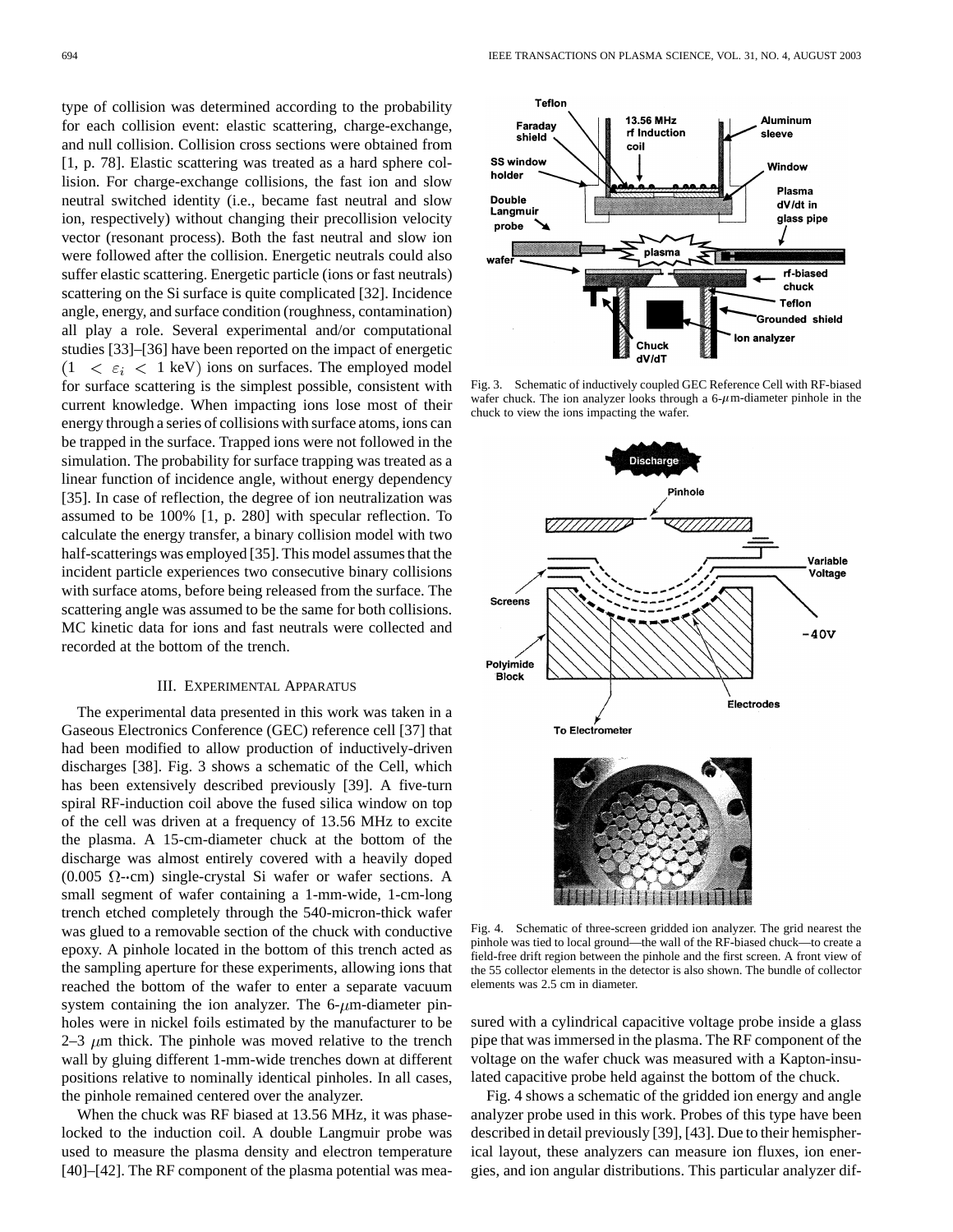type of collision was determined according to the probability for each collision event: elastic scattering, charge-exchange, and null collision. Collision cross sections were obtained from [1, p. 78]. Elastic scattering was treated as a hard sphere collision. For charge-exchange collisions, the fast ion and slow neutral switched identity (i.e., became fast neutral and slow ion, respectively) without changing their precollision velocity vector (resonant process). Both the fast neutral and slow ion were followed after the collision. Energetic neutrals could also suffer elastic scattering. Energetic particle (ions or fast neutrals) scattering on the Si surface is quite complicated [32]. Incidence angle, energy, and surface condition (roughness, contamination) all play a role. Several experimental and/or computational studies [33]–[36] have been reported on the impact of energetic  $1 < \varepsilon_i < 1$  keV) ions on surfaces. The employed model

for surface scattering is the simplest possible, consistent with current knowledge. When impacting ions lose most of their energy through a series of collisions with surface atoms, ions can be trapped in the surface. Trapped ions were not followed in the simulation. The probability for surface trapping was treated as a linear function of incidence angle, without energy dependency [35]. In case of reflection, the degree of ion neutralization was assumed to be 100% [1, p. 280] with specular reflection. To calculate the energy transfer, a binary collision model with two half-scatterings was employed [35]. This model assumes that the incident particle experiences two consecutive binary collisions with surface atoms, before being released from the surface. The scattering angle was assumed to be the same for both collisions. MC kinetic data for ions and fast neutrals were collected and recorded at the bottom of the trench.

## III. EXPERIMENTAL APPARATUS

The experimental data presented in this work was taken in a Gaseous Electronics Conference (GEC) reference cell [37] that had been modified to allow production of inductively-driven discharges [38]. Fig. 3 shows a schematic of the Cell, which has been extensively described previously [39]. A five-turn spiral RF-induction coil above the fused silica window on top of the cell was driven at a frequency of 13.56 MHz to excite the plasma. A 15-cm-diameter chuck at the bottom of the discharge was almost entirely covered with a heavily doped  $(0.005 \Omega$ -cm) single-crystal Si wafer or wafer sections. A small segment of wafer containing a 1-mm-wide, 1-cm-long trench etched completely through the 540-micron-thick wafer was glued to a removable section of the chuck with conductive epoxy. A pinhole located in the bottom of this trench acted as the sampling aperture for these experiments, allowing ions that reached the bottom of the wafer to enter a separate vacuum system containing the ion analyzer. The  $6\text{-}\mu\text{m}$ -diameter pinholes were in nickel foils estimated by the manufacturer to be 2–3  $\mu$ m thick. The pinhole was moved relative to the trench wall by gluing different 1-mm-wide trenches down at different positions relative to nominally identical pinholes. In all cases, the pinhole remained centered over the analyzer.

When the chuck was RF biased at 13.56 MHz, it was phaselocked to the induction coil. A double Langmuir probe was used to measure the plasma density and electron temperature [40]–[42]. The RF component of the plasma potential was mea-



Fig. 3. Schematic of inductively coupled GEC Reference Cell with RF-biased wafer chuck. The ion analyzer looks through a  $6-\mu$ m-diameter pinhole in the chuck to view the ions impacting the wafer.



Fig. 4. Schematic of three-screen gridded ion analyzer. The grid nearest the pinhole was tied to local ground—the wall of the RF-biased chuck—to create a field-free drift region between the pinhole and the first screen. A front view of the 55 collector elements in the detector is also shown. The bundle of collector elements was 2.5 cm in diameter.

sured with a cylindrical capacitive voltage probe inside a glass pipe that was immersed in the plasma. The RF component of the voltage on the wafer chuck was measured with a Kapton-insulated capacitive probe held against the bottom of the chuck.

Fig. 4 shows a schematic of the gridded ion energy and angle analyzer probe used in this work. Probes of this type have been described in detail previously [39], [43]. Due to their hemispherical layout, these analyzers can measure ion fluxes, ion energies, and ion angular distributions. This particular analyzer dif-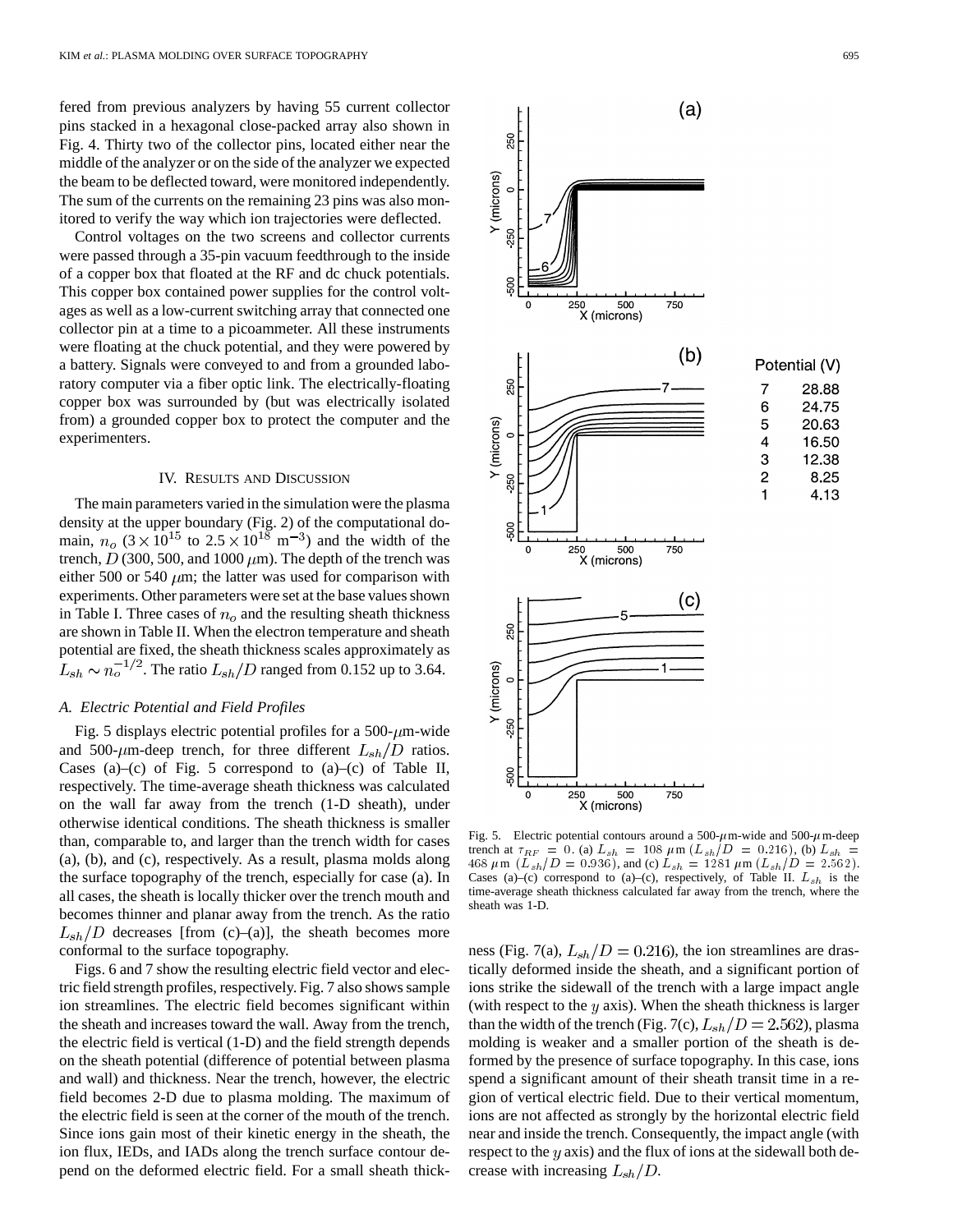fered from previous analyzers by having 55 current collector pins stacked in a hexagonal close-packed array also shown in Fig. 4. Thirty two of the collector pins, located either near the middle of the analyzer or on the side of the analyzer we expected the beam to be deflected toward, were monitored independently. The sum of the currents on the remaining 23 pins was also monitored to verify the way which ion trajectories were deflected.

Control voltages on the two screens and collector currents were passed through a 35-pin vacuum feedthrough to the inside of a copper box that floated at the RF and dc chuck potentials. This copper box contained power supplies for the control voltages as well as a low-current switching array that connected one collector pin at a time to a picoammeter. All these instruments were floating at the chuck potential, and they were powered by a battery. Signals were conveyed to and from a grounded laboratory computer via a fiber optic link. The electrically-floating copper box was surrounded by (but was electrically isolated from) a grounded copper box to protect the computer and the experimenters.

## IV. RESULTS AND DISCUSSION

The main parameters varied in the simulation were the plasma density at the upper boundary (Fig. 2) of the computational domain,  $n_o$  (3 × 10<sup>15</sup> to 2.5 × 10<sup>18</sup> m<sup>-3</sup>) and the width of the trench,  $D(300, 500, and 1000 \mu m)$ . The depth of the trench was either 500 or 540  $\mu$ m; the latter was used for comparison with experiments. Other parameters were set at the base values shown in Table I. Three cases of  $n<sub>o</sub>$  and the resulting sheath thickness are shown in Table II. When the electron temperature and sheath potential are fixed, the sheath thickness scales approximately as  $L_{sh} \sim n_o^{-1/2}$ . The ratio  $L_{sh}/D$  ranged from 0.152 up to 3.64.

## *A. Electric Potential and Field Profiles*

Fig. 5 displays electric potential profiles for a 500- $\mu$ m-wide and 500- $\mu$ m-deep trench, for three different  $L_{sh}/D$  ratios. Cases (a)–(c) of Fig. 5 correspond to  $(a)$ –(c) of Table II, respectively. The time-average sheath thickness was calculated on the wall far away from the trench (1-D sheath), under otherwise identical conditions. The sheath thickness is smaller than, comparable to, and larger than the trench width for cases (a), (b), and (c), respectively. As a result, plasma molds along the surface topography of the trench, especially for case (a). In all cases, the sheath is locally thicker over the trench mouth and becomes thinner and planar away from the trench. As the ratio  $L_{sh}/D$  decreases [from (c)–(a)], the sheath becomes more conformal to the surface topography.

Figs. 6 and 7 show the resulting electric field vector and electric field strength profiles, respectively. Fig. 7 also shows sample ion streamlines. The electric field becomes significant within the sheath and increases toward the wall. Away from the trench, the electric field is vertical (1-D) and the field strength depends on the sheath potential (difference of potential between plasma and wall) and thickness. Near the trench, however, the electric field becomes 2-D due to plasma molding. The maximum of the electric field is seen at the corner of the mouth of the trench. Since ions gain most of their kinetic energy in the sheath, the ion flux, IEDs, and IADs along the trench surface contour depend on the deformed electric field. For a small sheath thick-



Fig. 5. Electric potential contours around a 500- $\mu$ m-wide and 500- $\mu$ m-deep trench at  $\tau_{RF}$  = 0. (a)  $L_{sh}$  = 108  $\mu$ m ( $L_{sh}/D$  = 0.216), (b)  $L_{sh}$  = 468  $\mu$ m (L<sub>sh</sub>/D = 0.936), and (c) L<sub>sh</sub> = 1281  $\mu$ m (L<sub>sh</sub>/D = 2.562). Cases (a)–(c) correspond to (a)–(c), respectively, of Table II.  $L_{sh}$  is the time-average sheath thickness calculated far away from the trench, where the sheath was 1-D.

ness (Fig. 7(a),  $L_{sh}/D = 0.216$ ), the ion streamlines are drastically deformed inside the sheath, and a significant portion of ions strike the sidewall of the trench with a large impact angle (with respect to the  $y$  axis). When the sheath thickness is larger than the width of the trench (Fig. 7(c),  $L_{sh}/D = 2.562$ ), plasma molding is weaker and a smaller portion of the sheath is deformed by the presence of surface topography. In this case, ions spend a significant amount of their sheath transit time in a region of vertical electric field. Due to their vertical momentum, ions are not affected as strongly by the horizontal electric field near and inside the trench. Consequently, the impact angle (with respect to the  $y$  axis) and the flux of ions at the sidewall both decrease with increasing  $L_{sh}/D$ .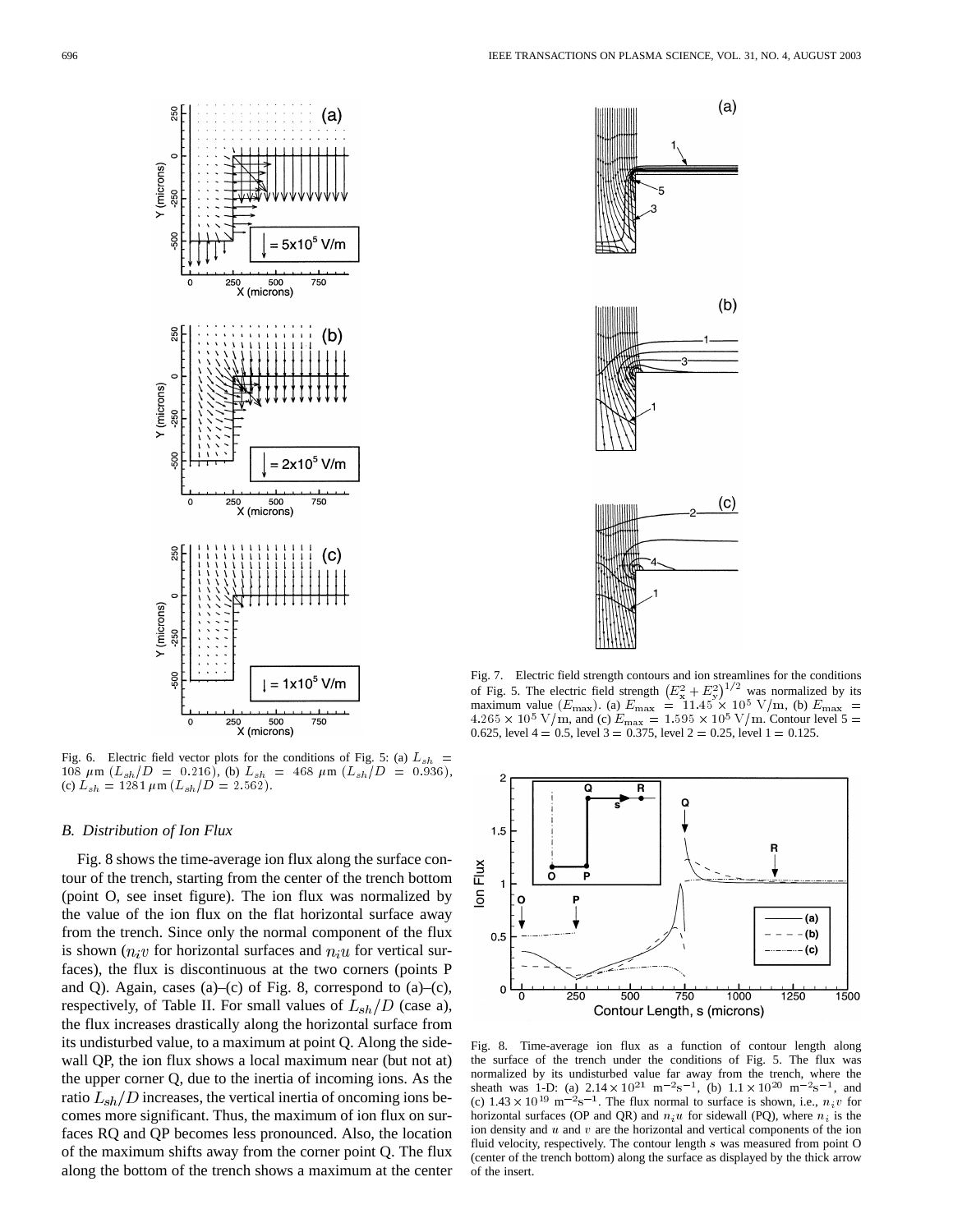

Fig. 6. Electric field vector plots for the conditions of Fig. 5: (a)  $L_{sh}$  = 108  $\mu$ m ( $L_{sh}/D = 0.216$ ), (b)  $L_{sh} = 468 \mu$ m ( $L_{sh}/D = 0.936$ ), (c)  $L_{sh} = 1281 \mu \text{m} (L_{sh}/D = 2.562).$ 

## *B. Distribution of Ion Flux*

Fig. 8 shows the time-average ion flux along the surface contour of the trench, starting from the center of the trench bottom (point O, see inset figure). The ion flux was normalized by the value of the ion flux on the flat horizontal surface away from the trench. Since only the normal component of the flux is shown  $(n_i v)$  for horizontal surfaces and  $n_i u$  for vertical surfaces), the flux is discontinuous at the two corners (points P and Q). Again, cases  $(a)$ – $(c)$  of Fig. 8, correspond to  $(a)$ – $(c)$ , respectively, of Table II. For small values of  $L_{sh}/D$  (case a), the flux increases drastically along the horizontal surface from its undisturbed value, to a maximum at point Q. Along the sidewall QP, the ion flux shows a local maximum near (but not at) the upper corner Q, due to the inertia of incoming ions. As the ratio  $L_{sh}/D$  increases, the vertical inertia of oncoming ions becomes more significant. Thus, the maximum of ion flux on surfaces RQ and QP becomes less pronounced. Also, the location of the maximum shifts away from the corner point Q. The flux along the bottom of the trench shows a maximum at the center



Fig. 7. Electric field strength contours and ion streamlines for the conditions of Fig. 5. The electric field strength  $(E_x^2 + E_y^2)^{1/2}$  was normalized by its maximum value  $(E_{\text{max}})$ . (a)  $E_{\text{max}} = 11.45 \times 10^5$  V/m, (b)  $E_{\text{max}} =$  $4.265 \times 10^5$  V/m, and (c)  $E_{\text{max}} = 1.595 \times 10^5$  V/m. Contour level 5 = 0.625, level  $4 = 0.5$ , level  $3 = 0.375$ , level  $2 = 0.25$ , level  $1 = 0.125$ .



Fig. 8. Time-average ion flux as a function of contour length along the surface of the trench under the conditions of Fig. 5. The flux was normalized by its undisturbed value far away from the trench, where the sheath was 1-D: (a)  $2.14 \times 10^{21}$  m<sup>-2</sup>s<sup>-1</sup>, (b)  $1.1 \times 10^{20}$  m<sup>-2</sup>s<sup>-1</sup>, and (c)  $1.43 \times 10^{19}$  m<sup>-2</sup>s<sup>-1</sup>. The flux normal to surface is shown, i.e.,  $n_i v$  for horizontal surfaces (OP and QR) and  $n_i u$  for sidewall (PQ), where  $n_i$  is the ion density and  $u$  and  $v$  are the horizontal and vertical components of the ion fluid velocity, respectively. The contour length s was measured from point O (center of the trench bottom) along the surface as displayed by the thick arrow of the insert.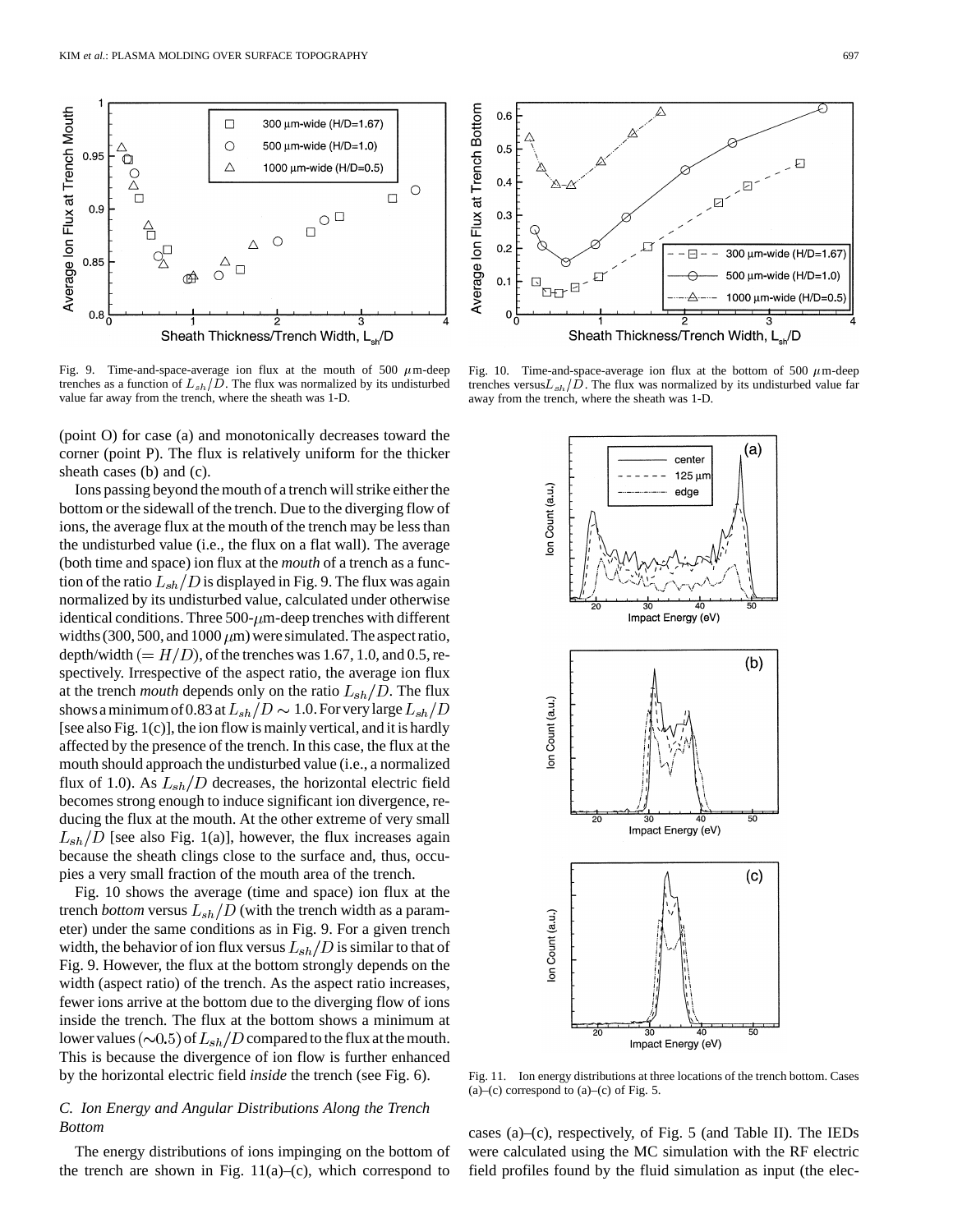

Fig. 9. Time-and-space-average ion flux at the mouth of 500  $\mu$ m-deep trenches as a function of  $L_{sh}/D$ . The flux was normalized by its undisturbed value far away from the trench, where the sheath was 1-D.

(point O) for case (a) and monotonically decreases toward the corner (point P). The flux is relatively uniform for the thicker sheath cases (b) and (c).

Ions passing beyond the mouth of a trench will strike either the bottom or the sidewall of the trench. Due to the diverging flow of ions, the average flux at the mouth of the trench may be less than the undisturbed value (i.e., the flux on a flat wall). The average (both time and space) ion flux at the *mouth* of a trench as a function of the ratio  $L_{sh}/D$  is displayed in Fig. 9. The flux was again normalized by its undisturbed value, calculated under otherwise identical conditions. Three 500- $\mu$ m-deep trenches with different widths (300, 500, and 1000  $\mu$ m) were simulated. The aspect ratio, depth/width  $(=H/D)$ , of the trenches was 1.67, 1.0, and 0.5, respectively. Irrespective of the aspect ratio, the average ion flux at the trench *mouth* depends only on the ratio  $L_{sh}/D$ . The flux shows a minimum of 0.83 at  $L_{sh}/D \sim 1.0$ . For very large  $L_{sh}/D$ [see also Fig. 1(c)], the ion flow is mainly vertical, and it is hardly affected by the presence of the trench. In this case, the flux at the mouth should approach the undisturbed value (i.e., a normalized flux of 1.0). As  $L_{sh}/D$  decreases, the horizontal electric field becomes strong enough to induce significant ion divergence, reducing the flux at the mouth. At the other extreme of very small  $L_{sh}/D$  [see also Fig. 1(a)], however, the flux increases again because the sheath clings close to the surface and, thus, occupies a very small fraction of the mouth area of the trench.

Fig. 10 shows the average (time and space) ion flux at the trench *bottom* versus  $L_{sh}/D$  (with the trench width as a parameter) under the same conditions as in Fig. 9. For a given trench width, the behavior of ion flux versus  $L_{sh}/D$  is similar to that of Fig. 9. However, the flux at the bottom strongly depends on the width (aspect ratio) of the trench. As the aspect ratio increases, fewer ions arrive at the bottom due to the diverging flow of ions inside the trench. The flux at the bottom shows a minimum at lower values  $(\sim 0.5)$  of  $L_{sh}/D$  compared to the flux at the mouth. This is because the divergence of ion flow is further enhanced by the horizontal electric field *inside* the trench (see Fig. 6).

## *C. Ion Energy and Angular Distributions Along the Trench Bottom*

The energy distributions of ions impinging on the bottom of the trench are shown in Fig.  $11(a)$ –(c), which correspond to



Fig. 10. Time-and-space-average ion flux at the bottom of 500  $\mu$ m-deep trenches versus $L_{sh}/D$ . The flux was normalized by its undisturbed value far away from the trench, where the sheath was 1-D.



Fig. 11. Ion energy distributions at three locations of the trench bottom. Cases  $(a)$ –(c) correspond to  $(a)$ –(c) of Fig. 5.

cases (a)–(c), respectively, of Fig. 5 (and Table II). The IEDs were calculated using the MC simulation with the RF electric field profiles found by the fluid simulation as input (the elec-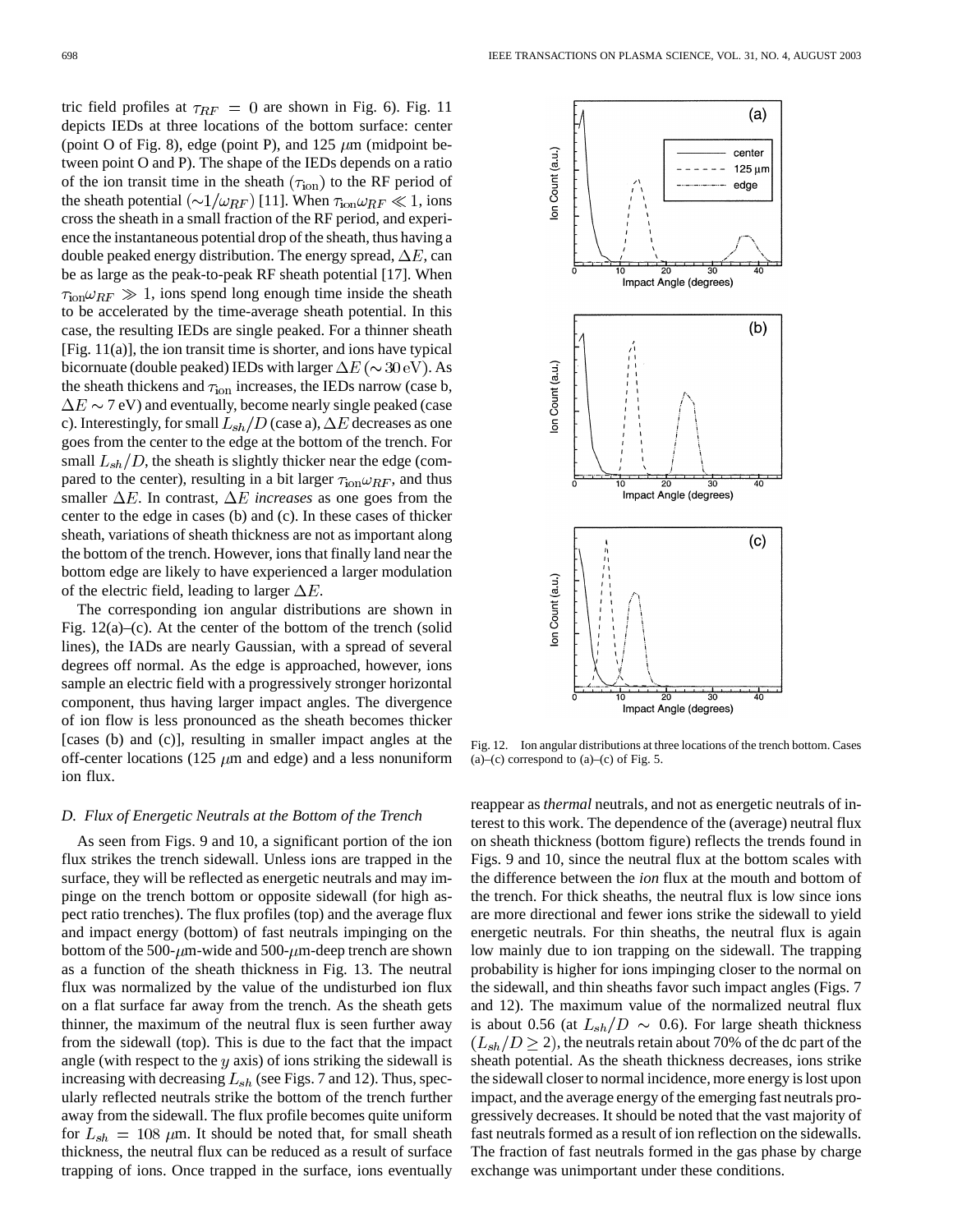tric field profiles at  $\tau_{RF} = 0$  are shown in Fig. 6). Fig. 11 depicts IEDs at three locations of the bottom surface: center (point O of Fig. 8), edge (point P), and 125  $\mu$ m (midpoint between point O and P). The shape of the IEDs depends on a ratio of the ion transit time in the sheath  $(\tau_{\text{ion}})$  to the RF period of the sheath potential  $(\sim 1/\omega_{RF})$  [11]. When  $\tau_{\text{ion}}\omega_{RF} \ll 1$ , ions cross the sheath in a small fraction of the RF period, and experience the instantaneous potential drop of the sheath, thus having a double peaked energy distribution. The energy spread,  $\Delta E$ , can be as large as the peak-to-peak RF sheath potential [17]. When  $\tau_{\rm ion} \omega_{RF} \gg 1$ , ions spend long enough time inside the sheath to be accelerated by the time-average sheath potential. In this case, the resulting IEDs are single peaked. For a thinner sheath [Fig. 11(a)], the ion transit time is shorter, and ions have typical bicornuate (double peaked) IEDs with larger  $\Delta E (\sim 30 \text{ eV})$ . As the sheath thickens and  $\tau_{ion}$  increases, the IEDs narrow (case b,  $\Delta E \sim 7$  eV) and eventually, become nearly single peaked (case c). Interestingly, for small  $L_{sh}/D$  (case a),  $\Delta E$  decreases as one goes from the center to the edge at the bottom of the trench. For small  $L_{sh}/D$ , the sheath is slightly thicker near the edge (compared to the center), resulting in a bit larger  $\tau_{\text{ion}} \omega_{RF}$ , and thus smaller  $\Delta E$ . In contrast,  $\Delta E$  *increases* as one goes from the center to the edge in cases (b) and (c). In these cases of thicker sheath, variations of sheath thickness are not as important along the bottom of the trench. However, ions that finally land near the bottom edge are likely to have experienced a larger modulation of the electric field, leading to larger  $\Delta E$ .

The corresponding ion angular distributions are shown in Fig.  $12(a)$ –(c). At the center of the bottom of the trench (solid lines), the IADs are nearly Gaussian, with a spread of several degrees off normal. As the edge is approached, however, ions sample an electric field with a progressively stronger horizontal component, thus having larger impact angles. The divergence of ion flow is less pronounced as the sheath becomes thicker [cases (b) and (c)], resulting in smaller impact angles at the off-center locations (125  $\mu$ m and edge) and a less nonuniform ion flux.

### *D. Flux of Energetic Neutrals at the Bottom of the Trench*

As seen from Figs. 9 and 10, a significant portion of the ion flux strikes the trench sidewall. Unless ions are trapped in the surface, they will be reflected as energetic neutrals and may impinge on the trench bottom or opposite sidewall (for high aspect ratio trenches). The flux profiles (top) and the average flux and impact energy (bottom) of fast neutrals impinging on the bottom of the 500- $\mu$ m-wide and 500- $\mu$ m-deep trench are shown as a function of the sheath thickness in Fig. 13. The neutral flux was normalized by the value of the undisturbed ion flux on a flat surface far away from the trench. As the sheath gets thinner, the maximum of the neutral flux is seen further away from the sidewall (top). This is due to the fact that the impact angle (with respect to the  $y$  axis) of ions striking the sidewall is increasing with decreasing  $L_{sh}$  (see Figs. 7 and 12). Thus, specularly reflected neutrals strike the bottom of the trench further away from the sidewall. The flux profile becomes quite uniform for  $L_{sh} = 108 \ \mu m$ . It should be noted that, for small sheath thickness, the neutral flux can be reduced as a result of surface trapping of ions. Once trapped in the surface, ions eventually



Fig. 12. Ion angular distributions at three locations of the trench bottom. Cases  $(a)$ –(c) correspond to  $(a)$ –(c) of Fig. 5.

reappear as *thermal* neutrals, and not as energetic neutrals of interest to this work. The dependence of the (average) neutral flux on sheath thickness (bottom figure) reflects the trends found in Figs. 9 and 10, since the neutral flux at the bottom scales with the difference between the *ion* flux at the mouth and bottom of the trench. For thick sheaths, the neutral flux is low since ions are more directional and fewer ions strike the sidewall to yield energetic neutrals. For thin sheaths, the neutral flux is again low mainly due to ion trapping on the sidewall. The trapping probability is higher for ions impinging closer to the normal on the sidewall, and thin sheaths favor such impact angles (Figs. 7 and 12). The maximum value of the normalized neutral flux is about 0.56 (at  $L_{sh}/D \sim 0.6$ ). For large sheath thickness  $(L_{sh}/D \geq 2)$ , the neutrals retain about 70% of the dc part of the sheath potential. As the sheath thickness decreases, ions strike the sidewall closer to normal incidence, more energy is lost upon impact, and the average energy of the emerging fast neutrals progressively decreases. It should be noted that the vast majority of fast neutrals formed as a result of ion reflection on the sidewalls. The fraction of fast neutrals formed in the gas phase by charge exchange was unimportant under these conditions.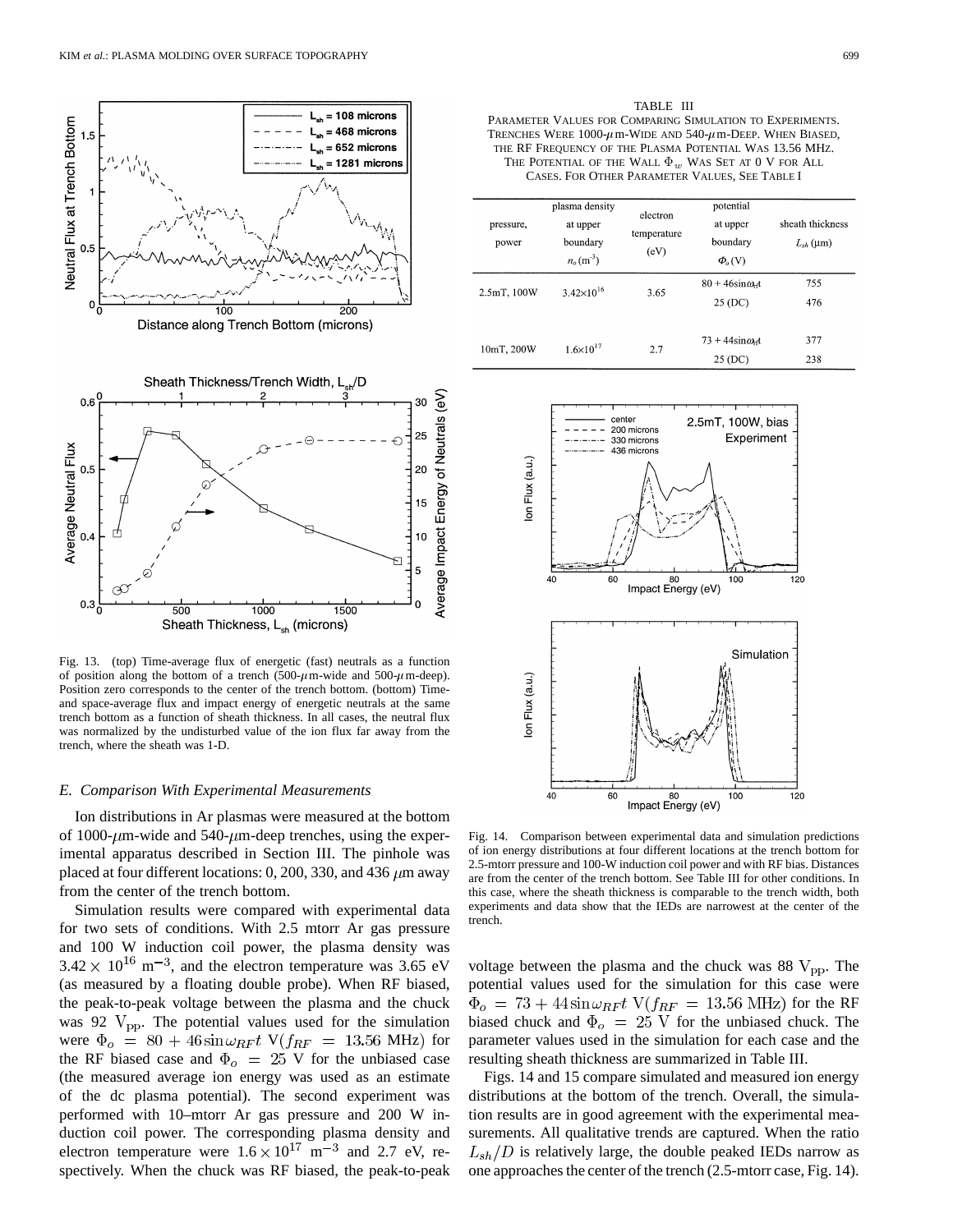

Fig. 13. (top) Time-average flux of energetic (fast) neutrals as a function of position along the bottom of a trench (500- $\mu$ m-wide and 500- $\mu$ m-deep). Position zero corresponds to the center of the trench bottom. (bottom) Timeand space-average flux and impact energy of energetic neutrals at the same trench bottom as a function of sheath thickness. In all cases, the neutral flux was normalized by the undisturbed value of the ion flux far away from the trench, where the sheath was 1-D.

#### *E. Comparison With Experimental Measurements*

Ion distributions in Ar plasmas were measured at the bottom of 1000- $\mu$ m-wide and 540- $\mu$ m-deep trenches, using the experimental apparatus described in Section III. The pinhole was placed at four different locations: 0, 200, 330, and 436  $\mu$ m away from the center of the trench bottom.

Simulation results were compared with experimental data for two sets of conditions. With 2.5 mtorr Ar gas pressure and 100 W induction coil power, the plasma density was  $3.42 \times 10^{16}$  m<sup>-3</sup>, and the electron temperature was 3.65 eV (as measured by a floating double probe). When RF biased, the peak-to-peak voltage between the plasma and the chuck was 92  $V_{\text{pp}}$ . The potential values used for the simulation were  $\Phi_o = 80 + 46 \sin \omega_{RF} t$  V( $f_{RF} = 13.56$  MHz) for the RF biased case and  $\Phi_o = 25$  V for the unbiased case (the measured average ion energy was used as an estimate of the dc plasma potential). The second experiment was performed with 10–mtorr Ar gas pressure and 200 W induction coil power. The corresponding plasma density and electron temperature were  $1.6 \times 10^{17}$  m<sup>-3</sup> and 2.7 eV, respectively. When the chuck was RF biased, the peak-to-peak

TABLE III PARAMETER VALUES FOR COMPARING SIMULATION TO EXPERIMENTS. TRENCHES WERE  $1000-\mu$  m-WIDE AND  $540-\mu$  m-Deep. When BIASED, THE RF FREQUENCY OF THE PLASMA POTENTIAL WAS 13.56 MHZ. THE POTENTIAL OF THE WALL  $\Phi_w$  WAS SET AT  $0$  V for ALL CASES. FOR OTHER PARAMETER VALUES, SEE TABLE I

| pressure,<br>power | plasma density<br>at upper<br>boundary<br>$n_o(m^3)$ | electron<br>temperature<br>(eV) | potential<br>at upper<br>boundary<br>$\Phi_{o}(V)$ | sheath thickness<br>$L_{sh}$ (µm) |
|--------------------|------------------------------------------------------|---------------------------------|----------------------------------------------------|-----------------------------------|
| 2.5mT, 100W        | $3.42\times10^{16}$                                  | 3.65                            | $80 + 46\sin\omega_r$<br>25 (DC)                   | 755<br>476                        |
| 10mT, 200W         | $1.6 \times 10^{17}$                                 | 2.7                             | $73 + 44\sin \omega_0$<br>25 (DC)                  | 377<br>238                        |



Fig. 14. Comparison between experimental data and simulation predictions of ion energy distributions at four different locations at the trench bottom for 2.5-mtorr pressure and 100-W induction coil power and with RF bias. Distances are from the center of the trench bottom. See Table III for other conditions. In this case, where the sheath thickness is comparable to the trench width, both experiments and data show that the IEDs are narrowest at the center of the trench.

voltage between the plasma and the chuck was 88  $V_{\text{pp}}$ . The potential values used for the simulation for this case were  $\Phi_o = 73 + 44 \sin \omega_{RF} t$  V( $f_{RF} = 13.56$  MHz) for the RF biased chuck and  $\Phi_o = 25$  V for the unbiased chuck. The parameter values used in the simulation for each case and the resulting sheath thickness are summarized in Table III.

Figs. 14 and 15 compare simulated and measured ion energy distributions at the bottom of the trench. Overall, the simulation results are in good agreement with the experimental measurements. All qualitative trends are captured. When the ratio  $L_{sh}/D$  is relatively large, the double peaked IEDs narrow as one approaches the center of the trench (2.5-mtorr case, Fig. 14).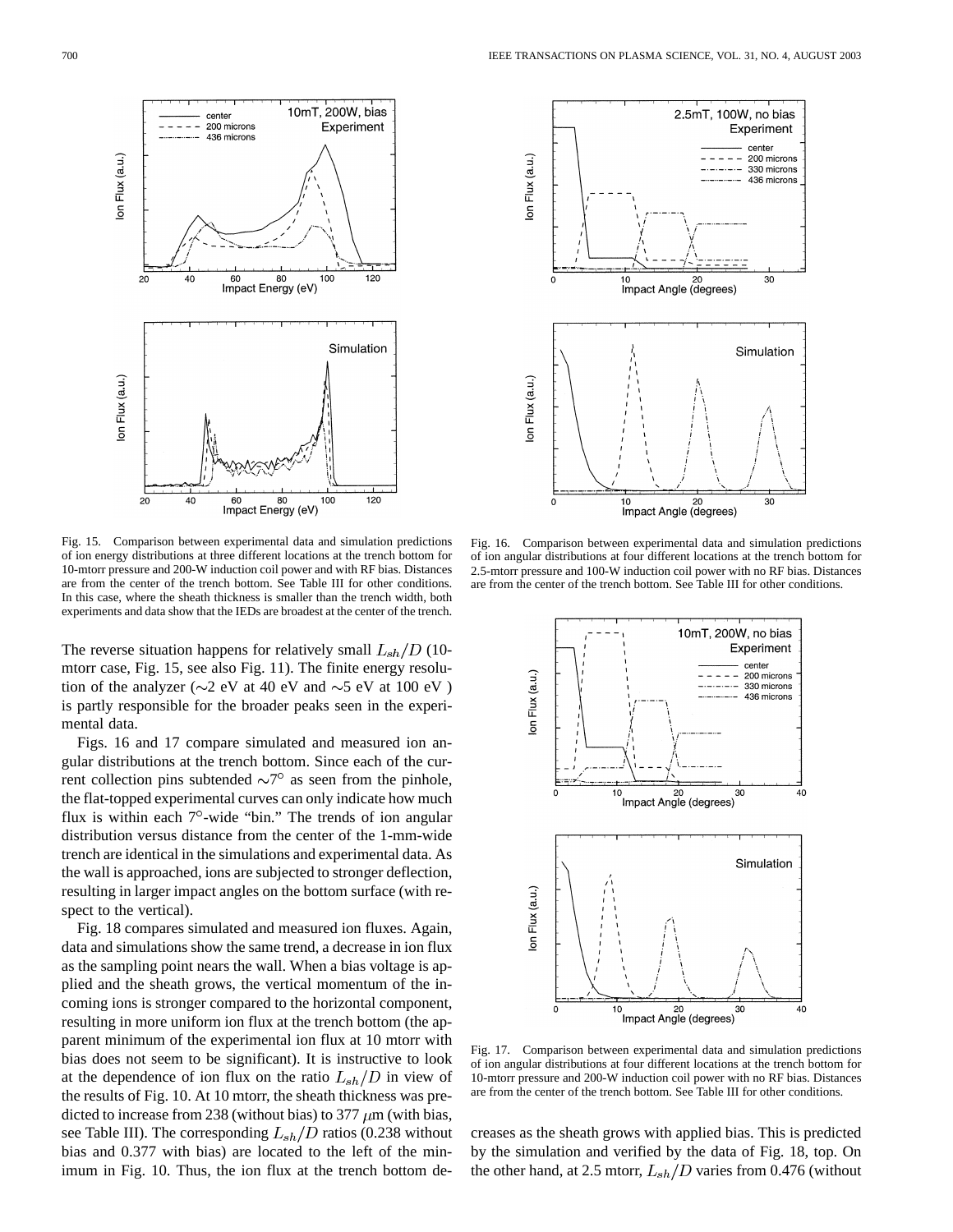

Fig. 15. Comparison between experimental data and simulation predictions of ion energy distributions at three different locations at the trench bottom for 10-mtorr pressure and 200-W induction coil power and with RF bias. Distances are from the center of the trench bottom. See Table III for other conditions. In this case, where the sheath thickness is smaller than the trench width, both experiments and data show that the IEDs are broadest at the center of the trench.

The reverse situation happens for relatively small  $L_{sh}/D$  (10mtorr case, Fig. 15, see also Fig. 11). The finite energy resolution of the analyzer ( $\sim$ 2 eV at 40 eV and  $\sim$ 5 eV at 100 eV) is partly responsible for the broader peaks seen in the experimental data.

Figs. 16 and 17 compare simulated and measured ion angular distributions at the trench bottom. Since each of the current collection pins subtended  $\sim 7^\circ$  as seen from the pinhole, the flat-topped experimental curves can only indicate how much flux is within each  $7^\circ$ -wide "bin." The trends of ion angular distribution versus distance from the center of the 1-mm-wide trench are identical in the simulations and experimental data. As the wall is approached, ions are subjected to stronger deflection, resulting in larger impact angles on the bottom surface (with respect to the vertical).

Fig. 18 compares simulated and measured ion fluxes. Again, data and simulations show the same trend, a decrease in ion flux as the sampling point nears the wall. When a bias voltage is applied and the sheath grows, the vertical momentum of the incoming ions is stronger compared to the horizontal component, resulting in more uniform ion flux at the trench bottom (the apparent minimum of the experimental ion flux at 10 mtorr with bias does not seem to be significant). It is instructive to look at the dependence of ion flux on the ratio  $L_{sh}/D$  in view of the results of Fig. 10. At 10 mtorr, the sheath thickness was predicted to increase from 238 (without bias) to 377  $\mu$ m (with bias, see Table III). The corresponding  $L_{sh}/D$  ratios (0.238 without bias and 0.377 with bias) are located to the left of the minimum in Fig. 10. Thus, the ion flux at the trench bottom de-



Fig. 16. Comparison between experimental data and simulation predictions of ion angular distributions at four different locations at the trench bottom for 2.5-mtorr pressure and 100-W induction coil power with no RF bias. Distances are from the center of the trench bottom. See Table III for other conditions.



Fig. 17. Comparison between experimental data and simulation predictions of ion angular distributions at four different locations at the trench bottom for 10-mtorr pressure and 200-W induction coil power with no RF bias. Distances are from the center of the trench bottom. See Table III for other conditions.

creases as the sheath grows with applied bias. This is predicted by the simulation and verified by the data of Fig. 18, top. On the other hand, at 2.5 mtorr,  $L_{sh}/D$  varies from 0.476 (without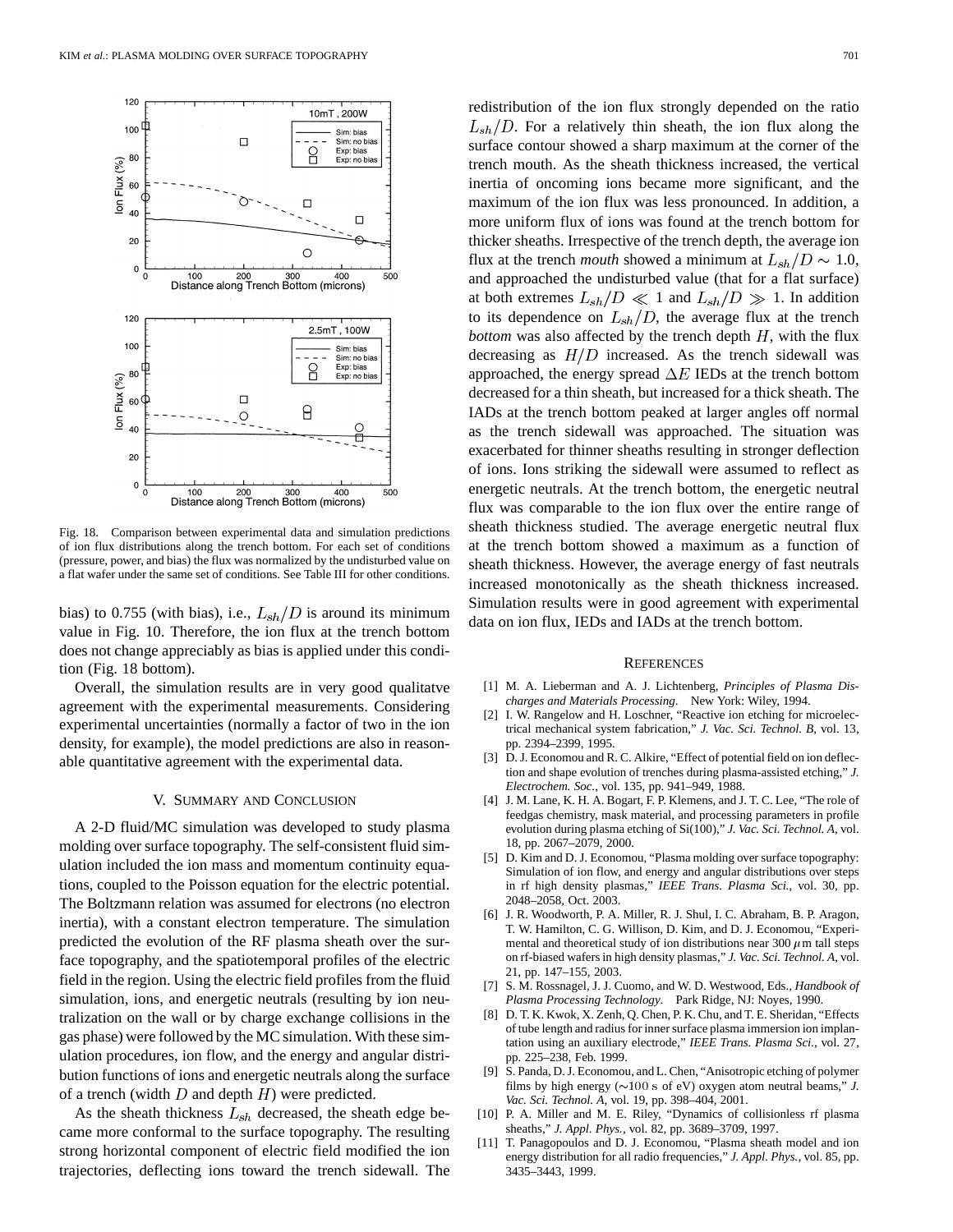

Fig. 18. Comparison between experimental data and simulation predictions of ion flux distributions along the trench bottom. For each set of conditions (pressure, power, and bias) the flux was normalized by the undisturbed value on a flat wafer under the same set of conditions. See Table III for other conditions.

bias) to 0.755 (with bias), i.e.,  $L_{sh}/D$  is around its minimum value in Fig. 10. Therefore, the ion flux at the trench bottom does not change appreciably as bias is applied under this condition (Fig. 18 bottom).

Overall, the simulation results are in very good qualitatve agreement with the experimental measurements. Considering experimental uncertainties (normally a factor of two in the ion density, for example), the model predictions are also in reasonable quantitative agreement with the experimental data.

## V. SUMMARY AND CONCLUSION

A 2-D fluid/MC simulation was developed to study plasma molding over surface topography. The self-consistent fluid simulation included the ion mass and momentum continuity equations, coupled to the Poisson equation for the electric potential. The Boltzmann relation was assumed for electrons (no electron inertia), with a constant electron temperature. The simulation predicted the evolution of the RF plasma sheath over the surface topography, and the spatiotemporal profiles of the electric field in the region. Using the electric field profiles from the fluid simulation, ions, and energetic neutrals (resulting by ion neutralization on the wall or by charge exchange collisions in the gas phase) were followed by the MC simulation. With these simulation procedures, ion flow, and the energy and angular distribution functions of ions and energetic neutrals along the surface of a trench (width  $D$  and depth  $H$ ) were predicted.

As the sheath thickness  $L_{sh}$  decreased, the sheath edge became more conformal to the surface topography. The resulting strong horizontal component of electric field modified the ion trajectories, deflecting ions toward the trench sidewall. The redistribution of the ion flux strongly depended on the ratio  $L_{sh}/D$ . For a relatively thin sheath, the ion flux along the surface contour showed a sharp maximum at the corner of the trench mouth. As the sheath thickness increased, the vertical inertia of oncoming ions became more significant, and the maximum of the ion flux was less pronounced. In addition, a more uniform flux of ions was found at the trench bottom for thicker sheaths. Irrespective of the trench depth, the average ion flux at the trench *mouth* showed a minimum at  $L_{sh}/D \sim 1.0$ , and approached the undisturbed value (that for a flat surface) at both extremes  $L_{sh}/D \ll 1$  and  $L_{sh}/D \gg 1$ . In addition to its dependence on  $L_{sh}/D$ , the average flux at the trench *bottom* was also affected by the trench depth  $H$ , with the flux decreasing as  $H/D$  increased. As the trench sidewall was approached, the energy spread  $\Delta E$  IEDs at the trench bottom decreased for a thin sheath, but increased for a thick sheath. The IADs at the trench bottom peaked at larger angles off normal as the trench sidewall was approached. The situation was exacerbated for thinner sheaths resulting in stronger deflection of ions. Ions striking the sidewall were assumed to reflect as energetic neutrals. At the trench bottom, the energetic neutral flux was comparable to the ion flux over the entire range of sheath thickness studied. The average energetic neutral flux at the trench bottom showed a maximum as a function of sheath thickness. However, the average energy of fast neutrals increased monotonically as the sheath thickness increased. Simulation results were in good agreement with experimental data on ion flux, IEDs and IADs at the trench bottom.

## **REFERENCES**

- [1] M. A. Lieberman and A. J. Lichtenberg, *Principles of Plasma Discharges and Materials Processing*. New York: Wiley, 1994.
- [2] I. W. Rangelow and H. Loschner, "Reactive ion etching for microelectrical mechanical system fabrication," *J. Vac. Sci. Technol. B*, vol. 13, pp. 2394–2399, 1995.
- [3] D. J. Economou and R. C. Alkire, "Effect of potential field on ion deflection and shape evolution of trenches during plasma-assisted etching," *J. Electrochem. Soc.*, vol. 135, pp. 941–949, 1988.
- [4] J. M. Lane, K. H. A. Bogart, F. P. Klemens, and J. T. C. Lee, "The role of feedgas chemistry, mask material, and processing parameters in profile evolution during plasma etching of Si(100)," *J. Vac. Sci. Technol. A*, vol. 18, pp. 2067–2079, 2000.
- [5] D. Kim and D. J. Economou, "Plasma molding over surface topography: Simulation of ion flow, and energy and angular distributions over steps in rf high density plasmas," *IEEE Trans. Plasma Sci.*, vol. 30, pp. 2048–2058, Oct. 2003.
- [6] J. R. Woodworth, P. A. Miller, R. J. Shul, I. C. Abraham, B. P. Aragon, T. W. Hamilton, C. G. Willison, D. Kim, and D. J. Economou, "Experimental and theoretical study of ion distributions near 300  $\mu$ m tall steps on rf-biased wafers in high density plasmas," *J. Vac. Sci. Technol. A*, vol. 21, pp. 147–155, 2003.
- [7] S. M. Rossnagel, J. J. Cuomo, and W. D. Westwood, Eds., *Handbook of Plasma Processing Technology*. Park Ridge, NJ: Noyes, 1990.
- [8] D. T. K. Kwok, X. Zenh, Q. Chen, P. K. Chu, and T. E. Sheridan, "Effects of tube length and radius for inner surface plasma immersion ion implantation using an auxiliary electrode," *IEEE Trans. Plasma Sci.*, vol. 27, pp. 225–238, Feb. 1999.
- [9] S. Panda, D. J. Economou, and L. Chen, "Anisotropic etching of polymer films by high energy ( $\sim$ 100 s of eV) oxygen atom neutral beams," *J. Vac. Sci. Technol. A*, vol. 19, pp. 398–404, 2001.
- [10] P. A. Miller and M. E. Riley, "Dynamics of collisionless rf plasma sheaths," *J. Appl. Phys.*, vol. 82, pp. 3689–3709, 1997.
- [11] T. Panagopoulos and D. J. Economou, "Plasma sheath model and ion energy distribution for all radio frequencies," *J. Appl. Phys.*, vol. 85, pp. 3435–3443, 1999.